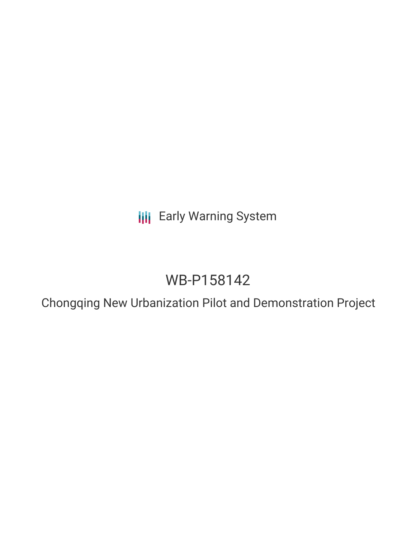**III** Early Warning System

# WB-P158142

Chongqing New Urbanization Pilot and Demonstration Project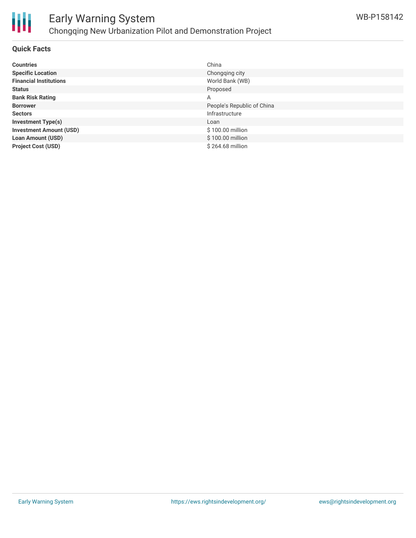

# **Quick Facts**

| <b>Countries</b>               | China                      |
|--------------------------------|----------------------------|
| <b>Specific Location</b>       | Chongging city             |
| <b>Financial Institutions</b>  | World Bank (WB)            |
| <b>Status</b>                  | Proposed                   |
| <b>Bank Risk Rating</b>        | A                          |
| <b>Borrower</b>                | People's Republic of China |
| <b>Sectors</b>                 | Infrastructure             |
| <b>Investment Type(s)</b>      | Loan                       |
| <b>Investment Amount (USD)</b> | \$100.00 million           |
| <b>Loan Amount (USD)</b>       | \$100.00 million           |
| <b>Project Cost (USD)</b>      | \$264.68 million           |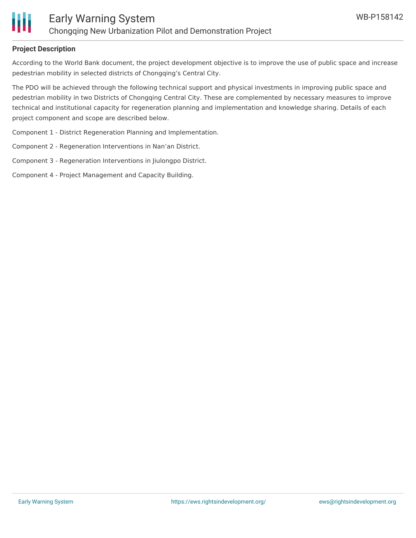

# **Project Description**

According to the World Bank document, the project development objective is to improve the use of public space and increase pedestrian mobility in selected districts of Chongqing's Central City.

The PDO will be achieved through the following technical support and physical investments in improving public space and pedestrian mobility in two Districts of Chongqing Central City. These are complemented by necessary measures to improve technical and institutional capacity for regeneration planning and implementation and knowledge sharing. Details of each project component and scope are described below.

Component 1 - District Regeneration Planning and Implementation.

Component 2 - Regeneration Interventions in Nan'an District.

Component 3 - Regeneration Interventions in Jiulongpo District.

Component 4 - Project Management and Capacity Building.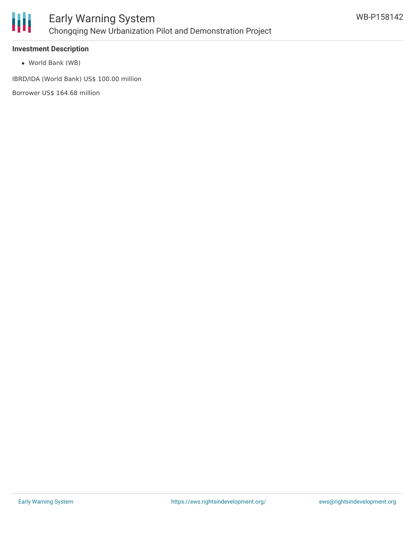

# **Investment Description**

World Bank (WB)

IBRD/IDA (World Bank) US\$ 100.00 million

Borrower US\$ 164.68 million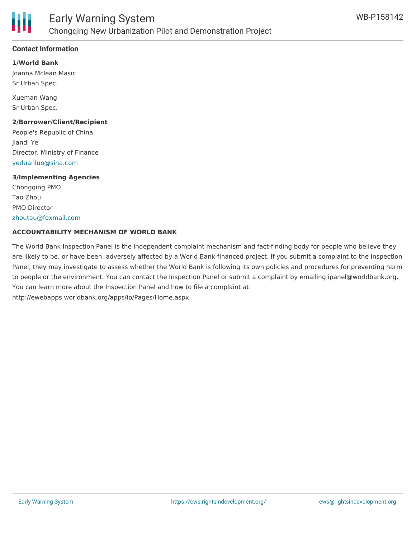

# **Contact Information**

**1/World Bank**

Joanna Mclean Masic Sr Urban Spec.

Xueman Wang Sr Urban Spec.

#### **2/Borrower/Client/Recipient**

People's Republic of China Jiandi Ye Director, Ministry of Finance [yeduanluo@sina.com](mailto:yeduanluo@sina.com)

#### **3/Implementing Agencies**

Chongqing PMO Tao Zhou PMO Director [zhoutau@foxmail.com](mailto:zhoutau@foxmail.com)

## **ACCOUNTABILITY MECHANISM OF WORLD BANK**

The World Bank Inspection Panel is the independent complaint mechanism and fact-finding body for people who believe they are likely to be, or have been, adversely affected by a World Bank-financed project. If you submit a complaint to the Inspection Panel, they may investigate to assess whether the World Bank is following its own policies and procedures for preventing harm to people or the environment. You can contact the Inspection Panel or submit a complaint by emailing ipanel@worldbank.org. You can learn more about the Inspection Panel and how to file a complaint at: http://ewebapps.worldbank.org/apps/ip/Pages/Home.aspx.